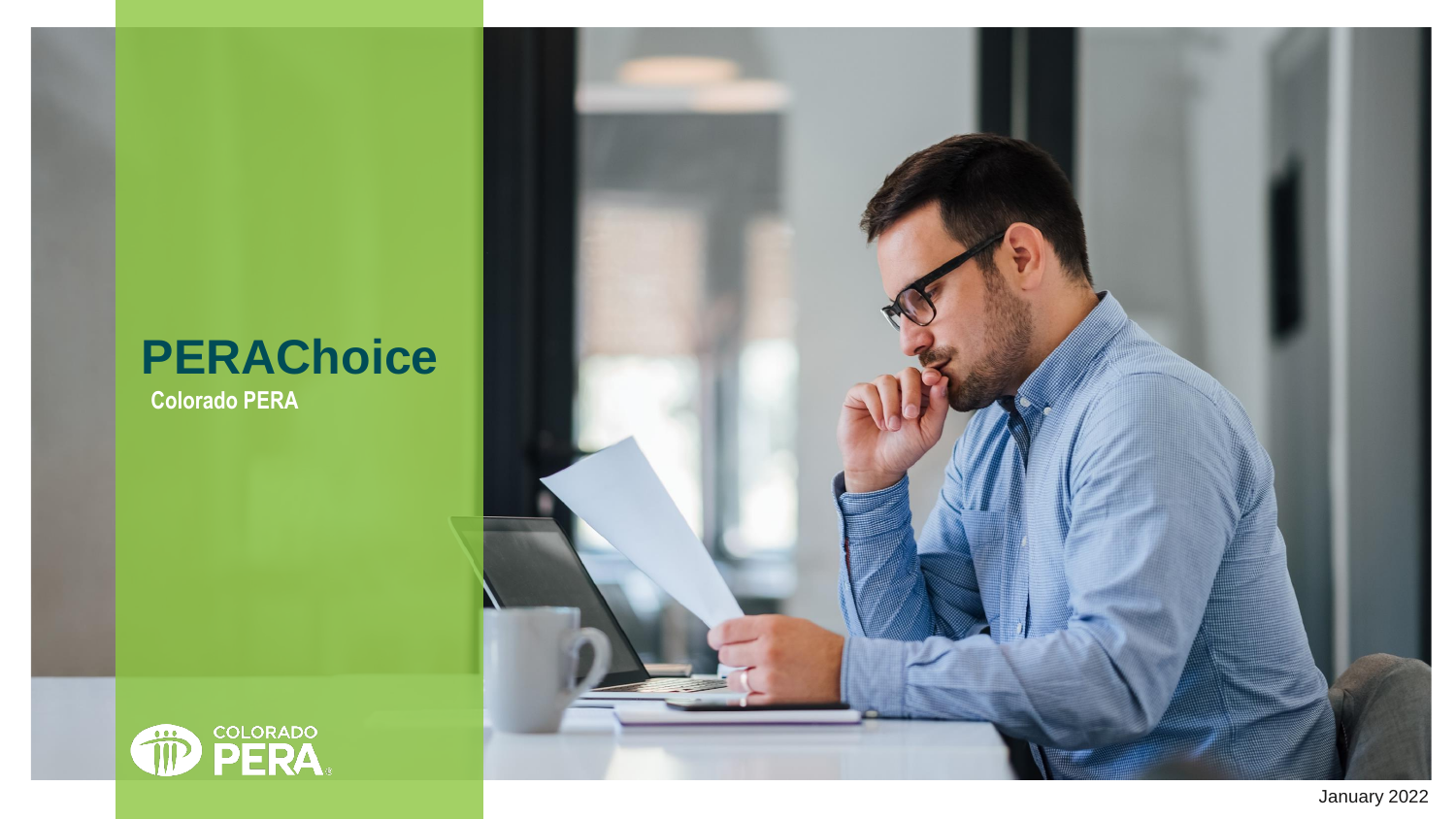#### **PERAChoice**

**Colorado PERA**

**OD PERA** 

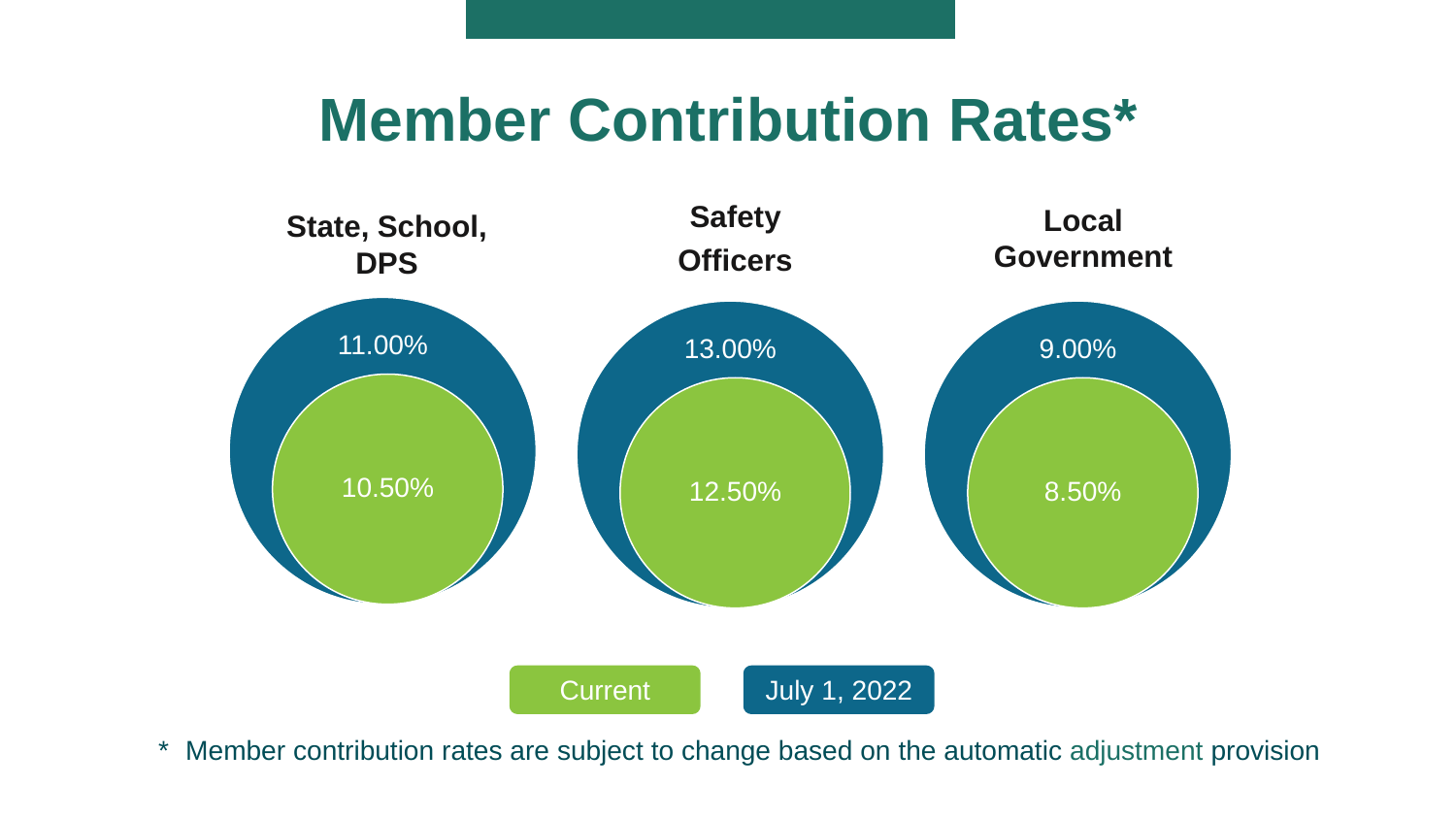#### **Member Contribution Rates\***



\* Member contribution rates are subject to change based on the automatic adjustment provision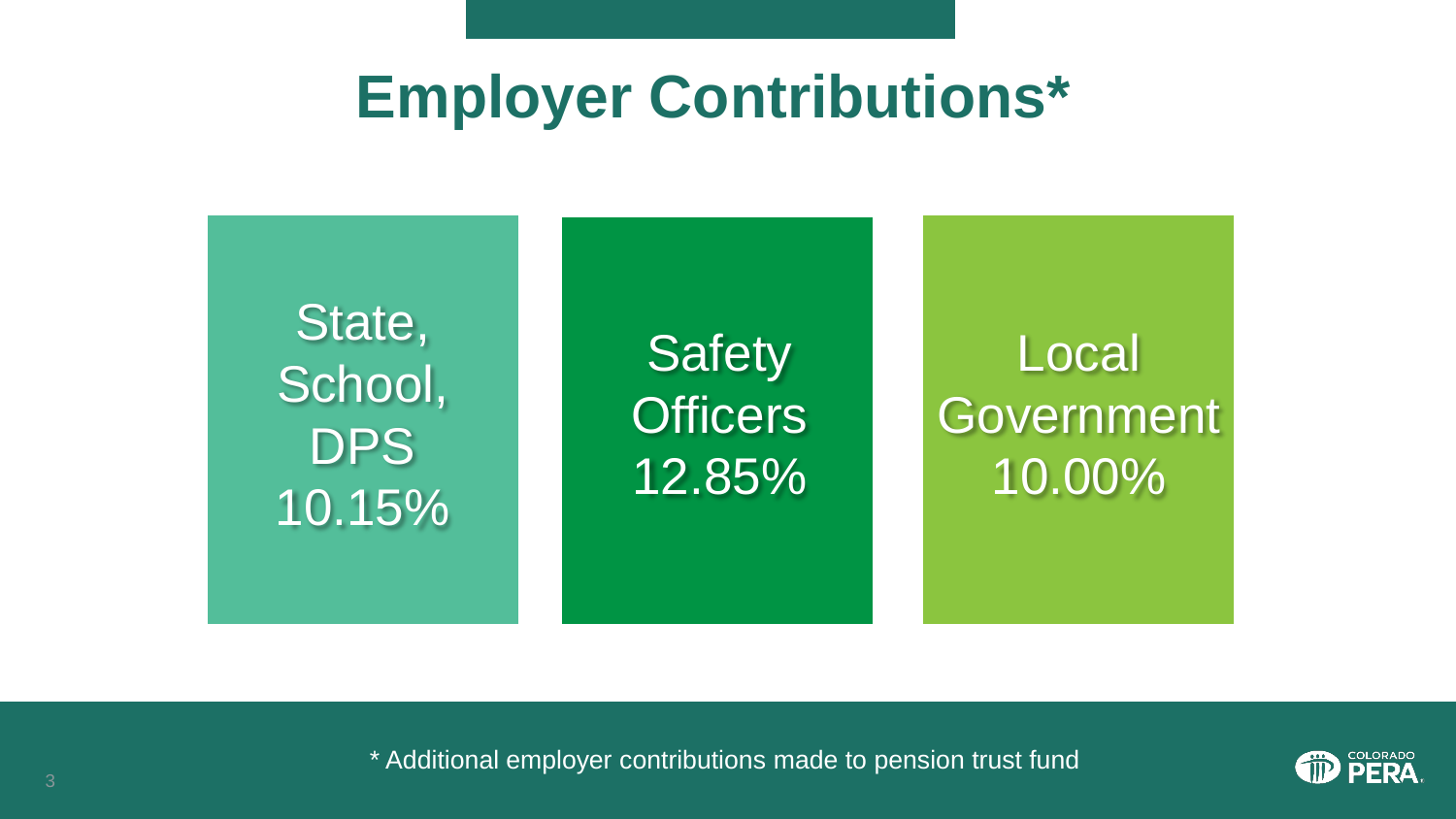#### **Employer Contributions\***

State, School, **DPS** 10.15%

**Safety Officers** 12.85%

Local **Government** 10.00%



\* Additional employer contributions made to pension trust fund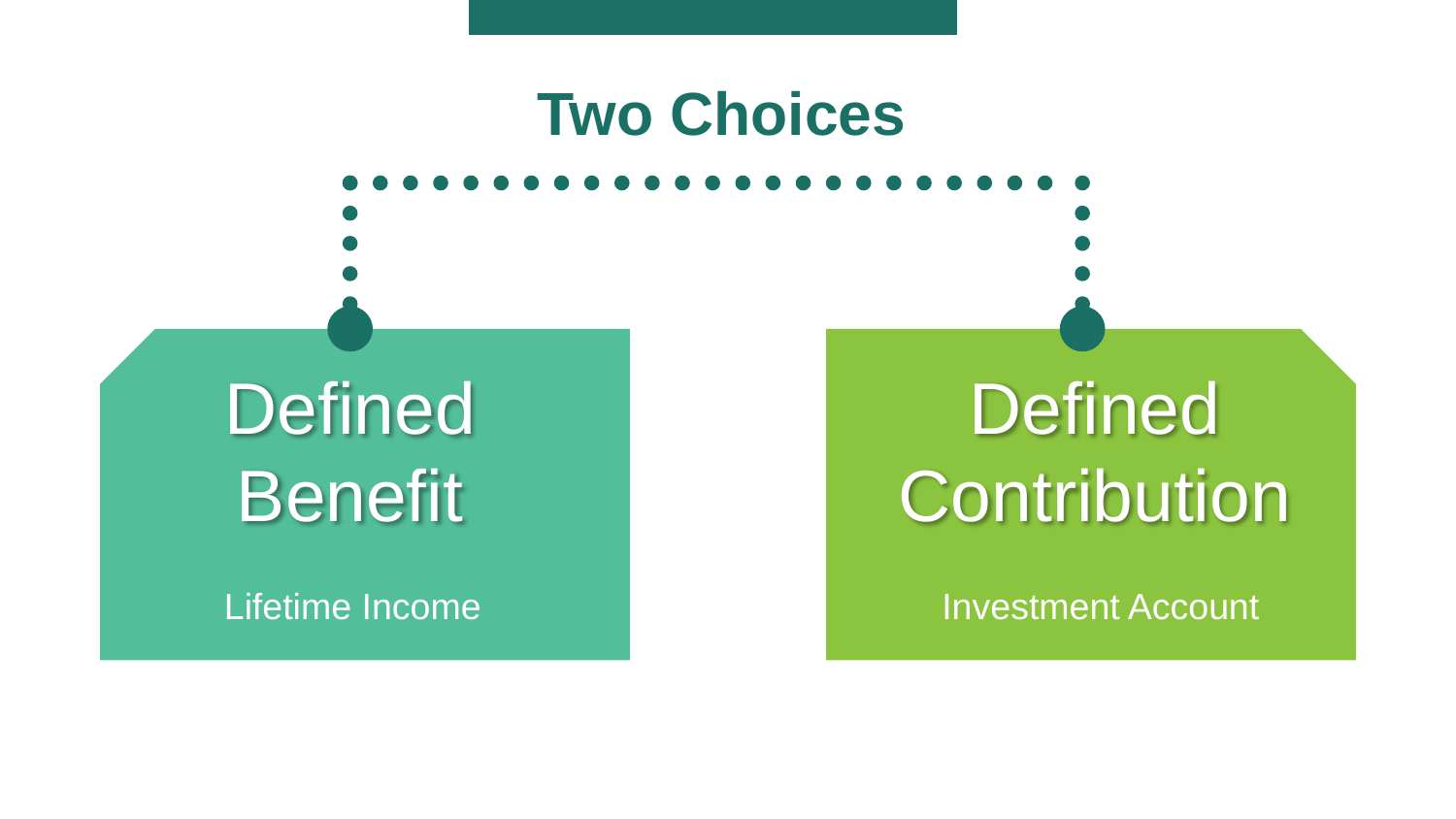#### **Two Choices**

**Defined Benefit** 

## **Defined Contribution**

Lifetime Income **Investment Account**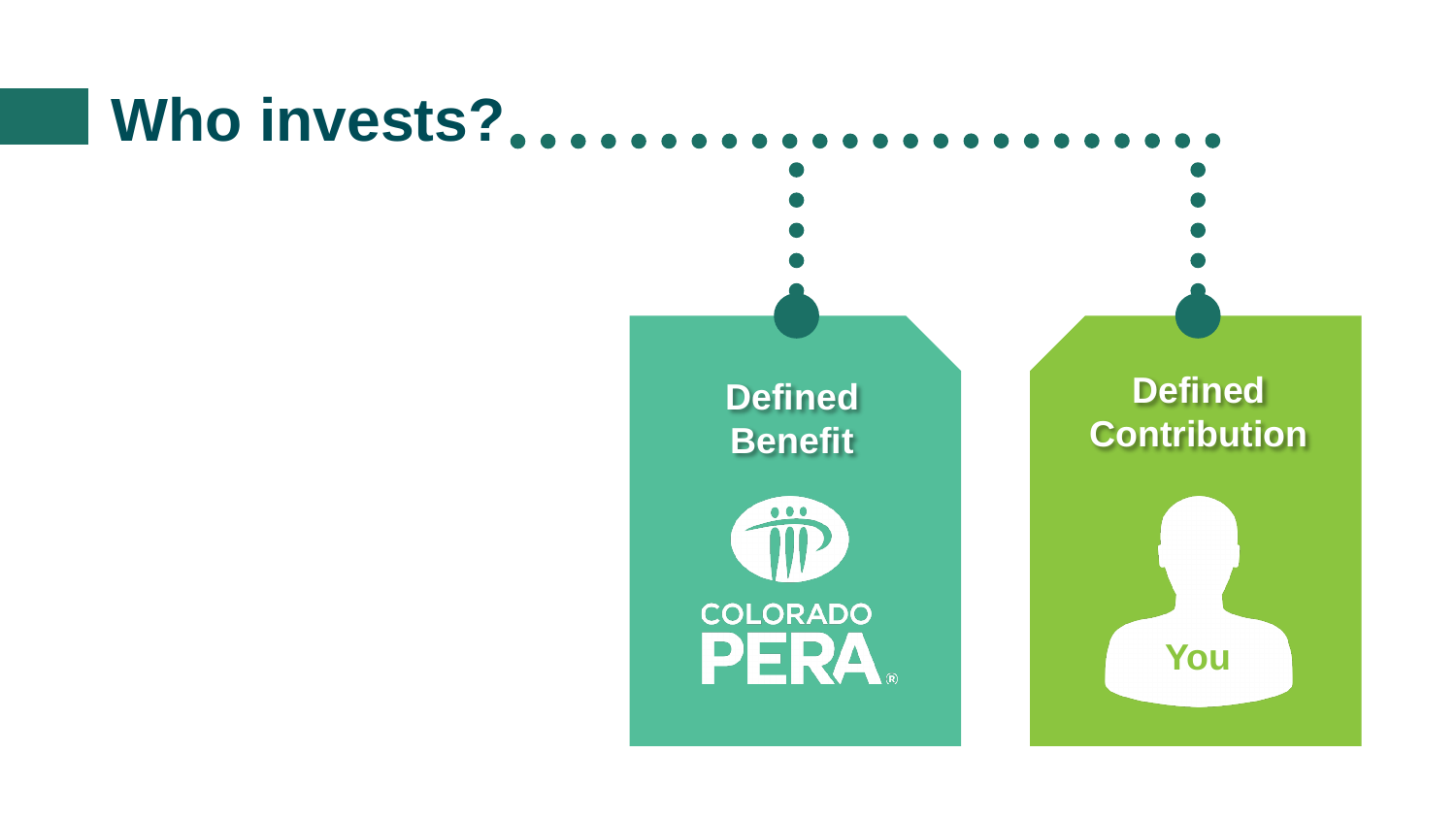### **Who invests?**

**Defined Benefit**



#### **Defined Contribution**

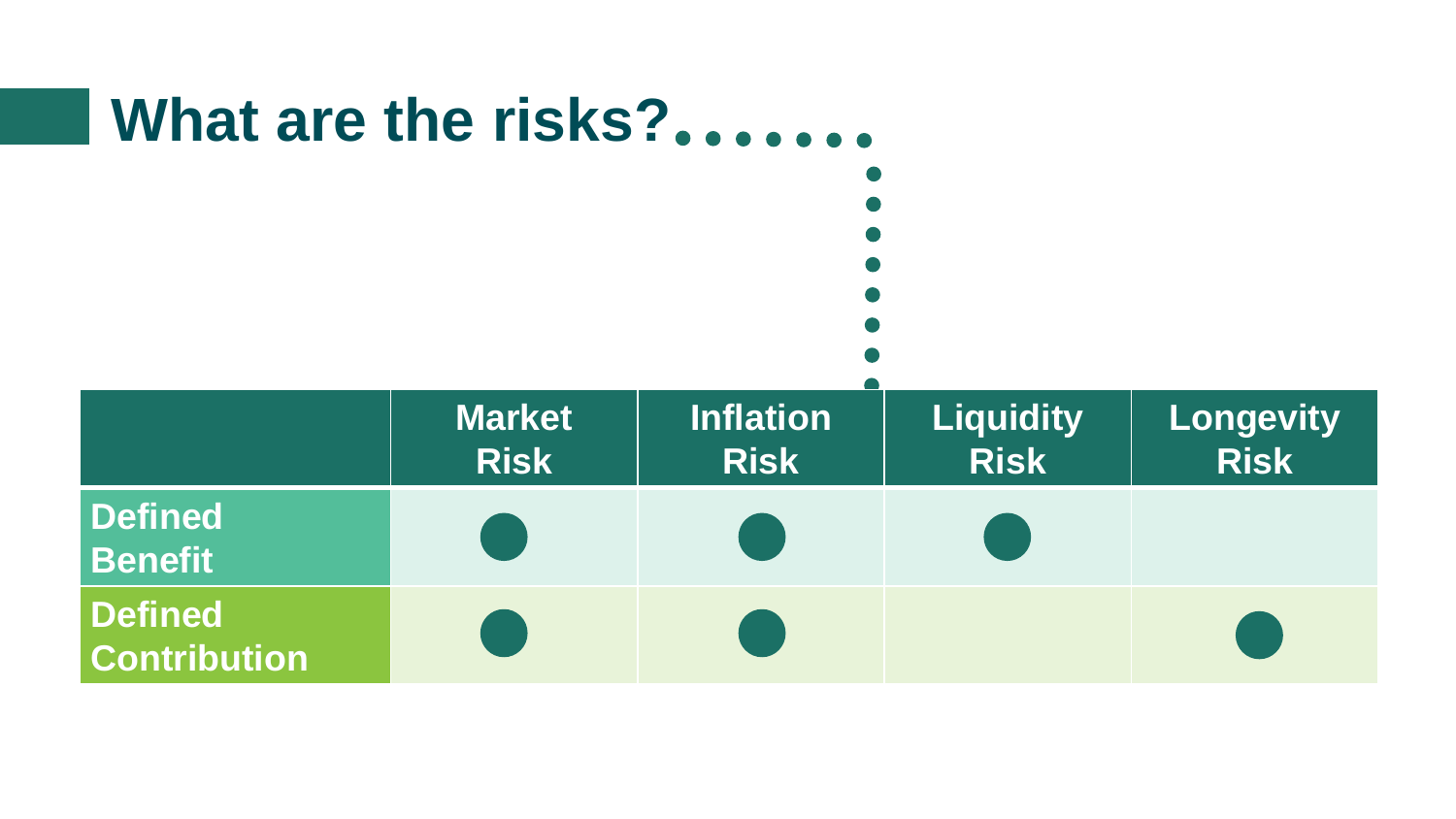### **What are the risks?**

|                                       | <b>Market</b><br><b>Risk</b> | <b>Inflation</b><br><b>Risk</b> | <b>Liquidity</b><br><b>Risk</b> | Longevity<br><b>Risk</b> |
|---------------------------------------|------------------------------|---------------------------------|---------------------------------|--------------------------|
| <b>Defined</b><br><b>Benefit</b>      |                              |                                 |                                 |                          |
| <b>Defined</b><br><b>Contribution</b> |                              |                                 |                                 |                          |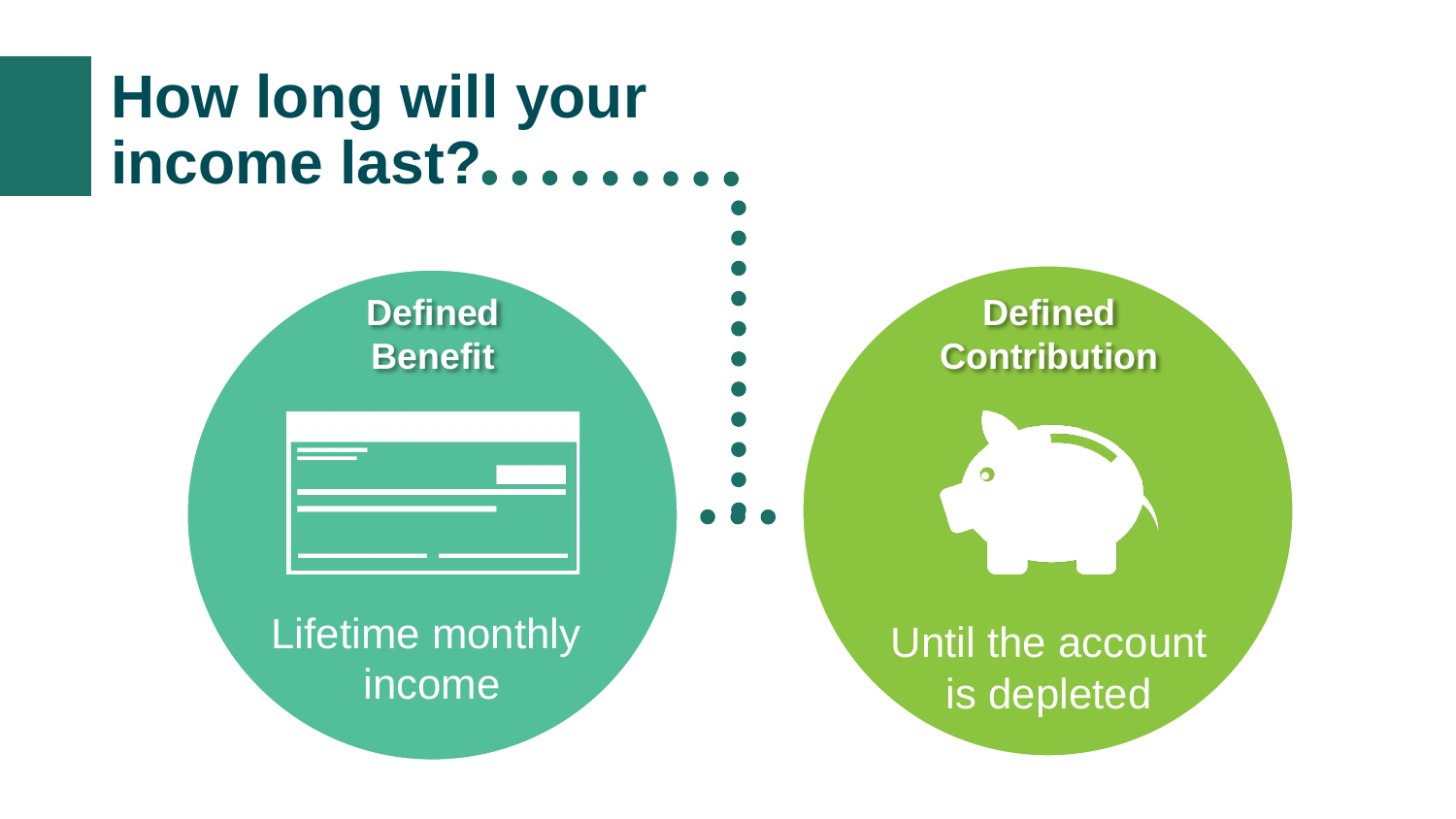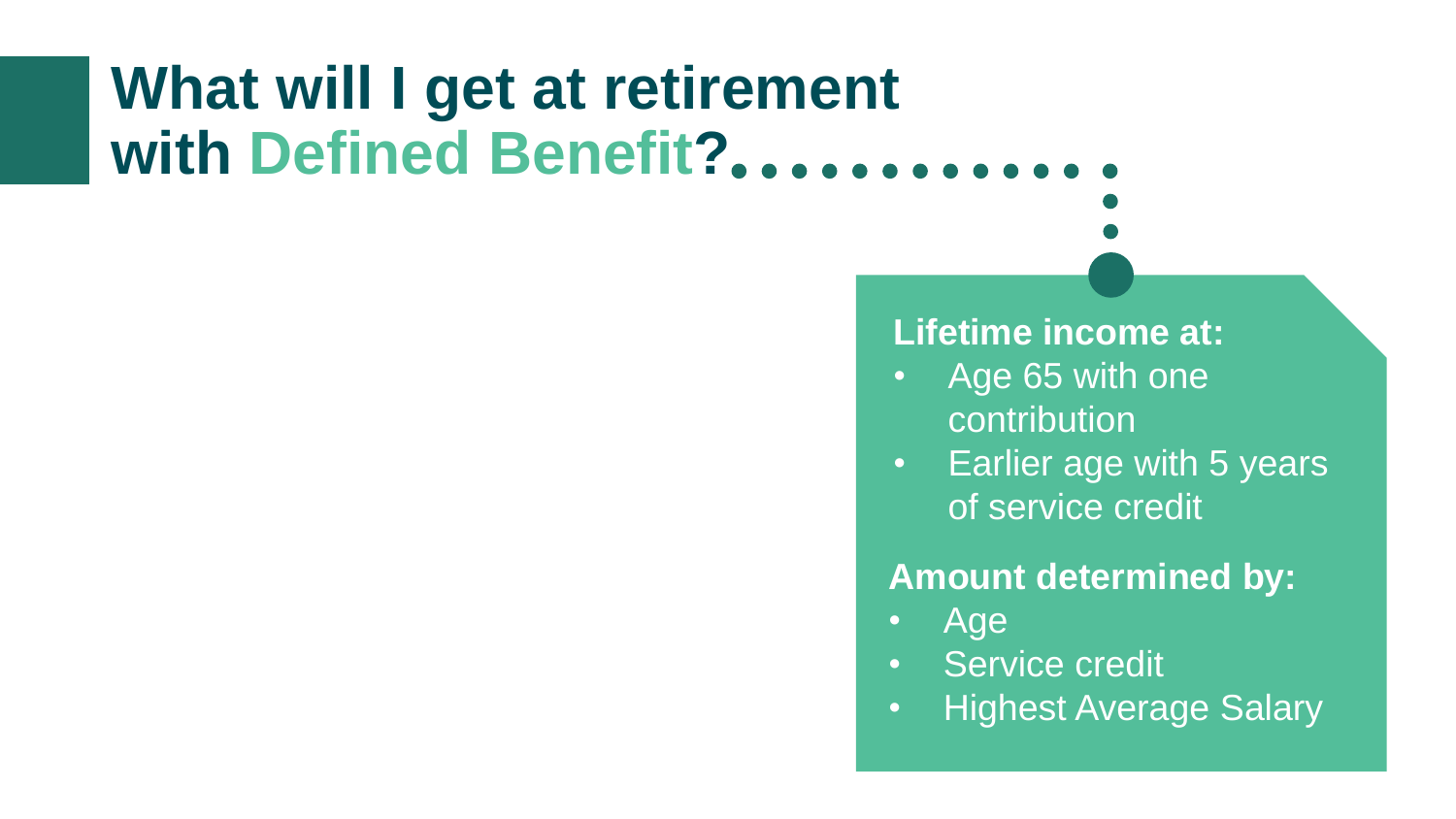### **What will I get at retirement with Defined Benefit?**

#### **Lifetime income at:**

- Age 65 with one contribution
- Earlier age with 5 years of service credit

#### **Amount determined by:**

- Age
- Service credit
- Highest Average Salary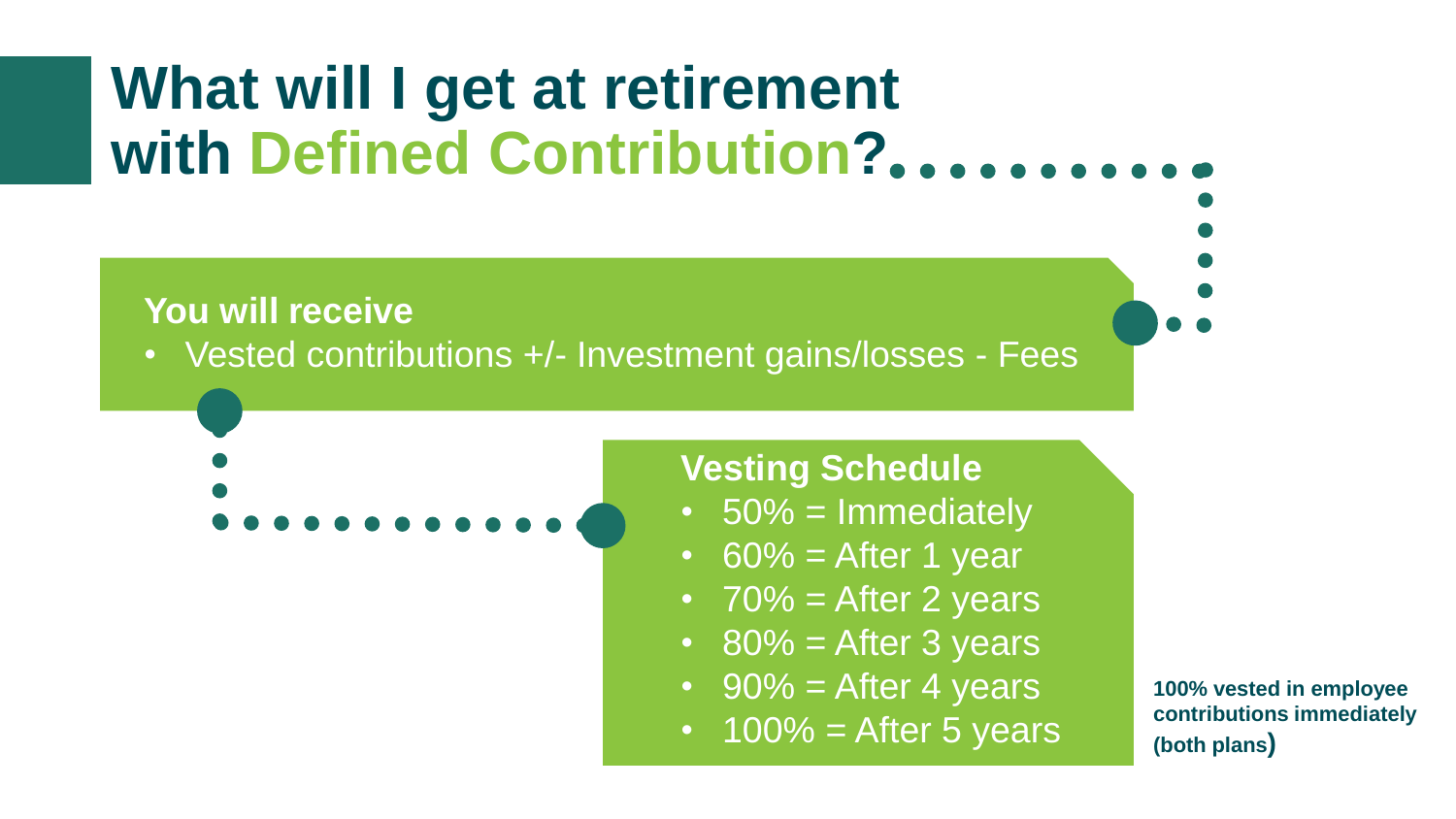### **What will I get at retirement with Defined Contribution?**

**You will receive**

• Vested contributions +/- Investment gains/losses - Fees

#### **Vesting Schedule**

- $\cdot$  50% = Immediately
- $60\%$  = After 1 year
- $70\%$  = After 2 years
- $80\%$  = After 3 years
- $90\%$  = After 4 years
- $\overline{100\%}$  = After 5 years

**100% vested in employee contributions immediately (both plans)**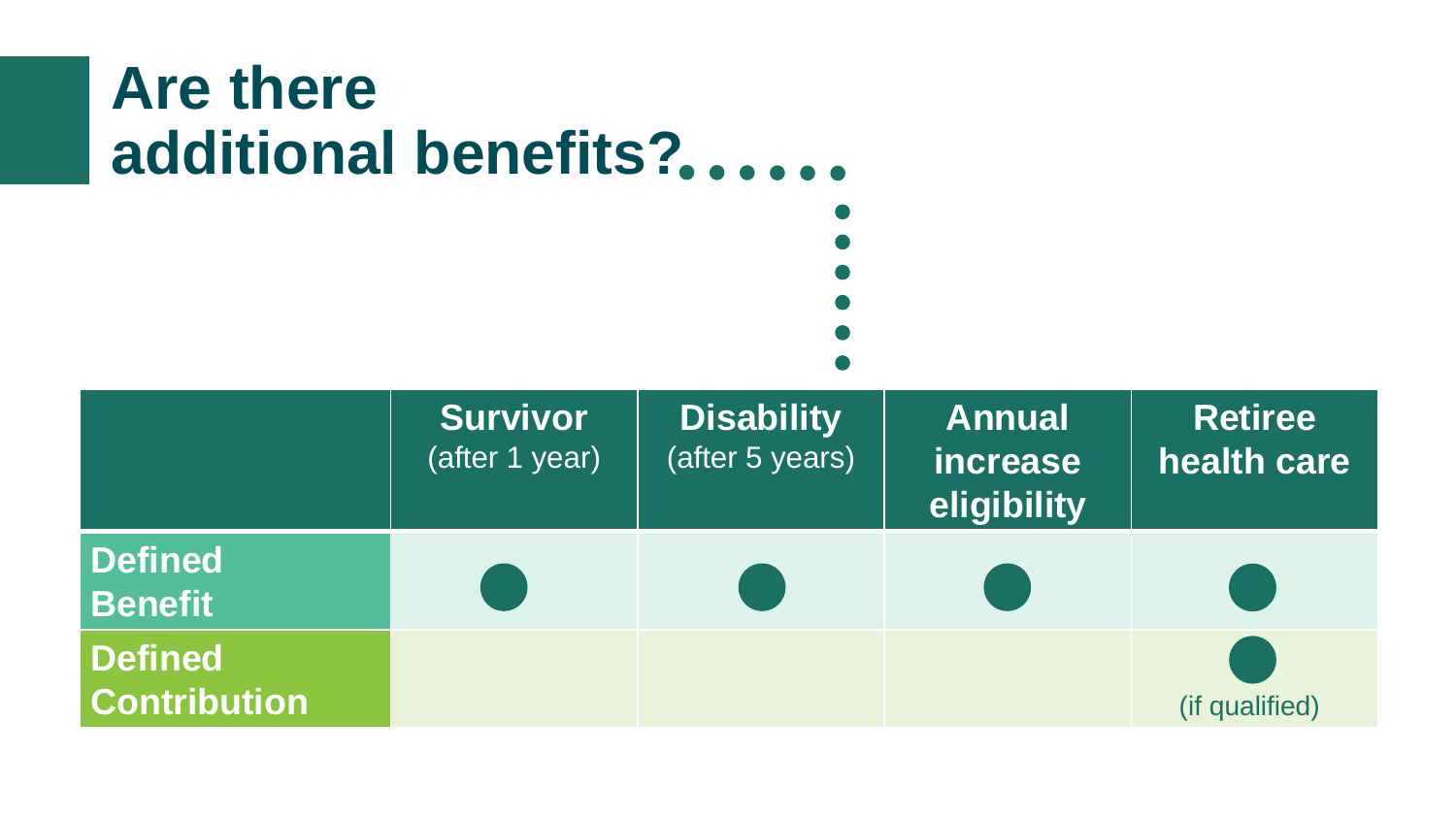#### **Are there additional benefits?**

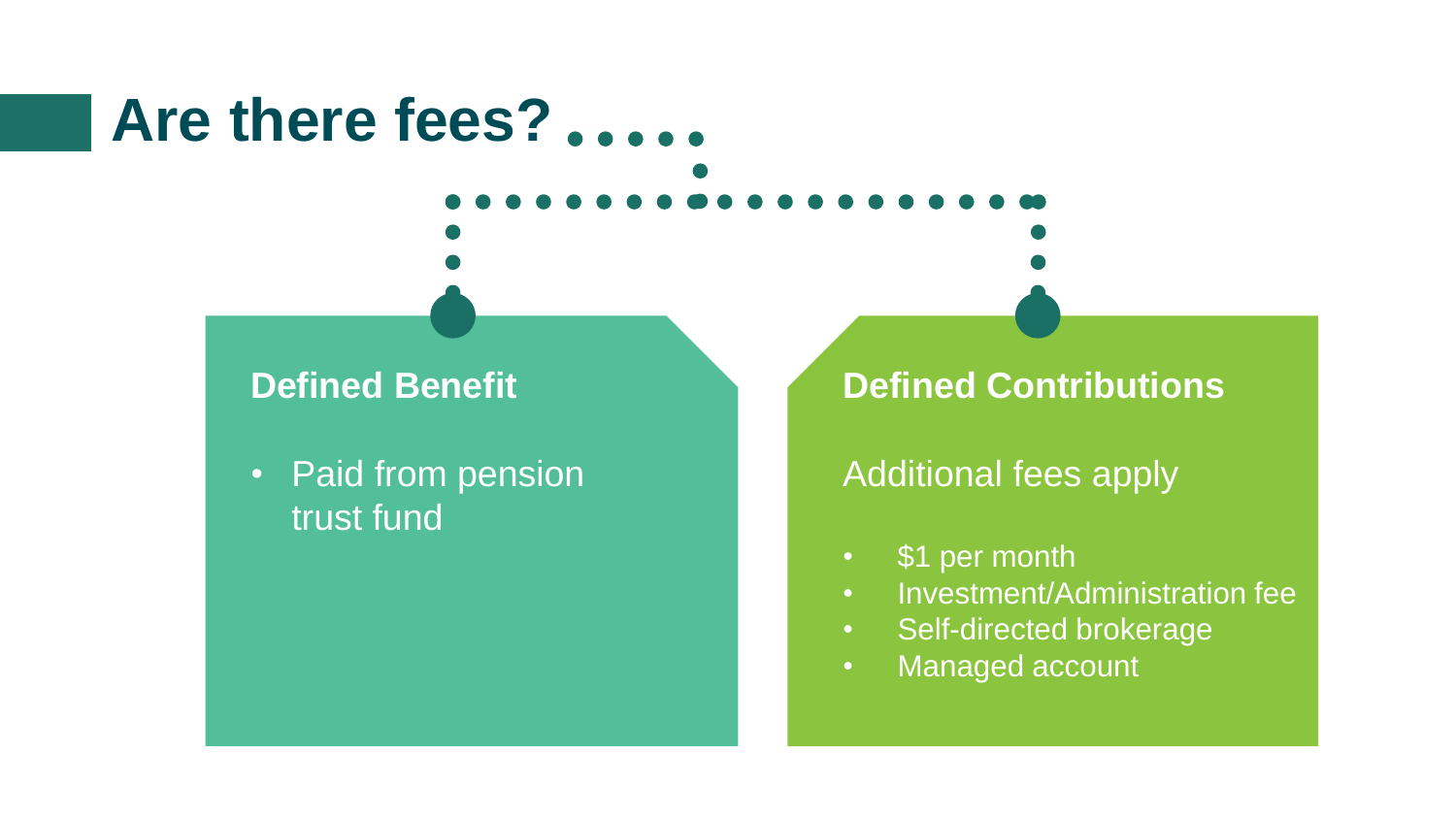### **Are there fees?**

#### **Defined Benefit**

• Paid from pension trust fund

#### **Defined Contributions**

#### Additional fees apply

- \$1 per month
- Investment/Administration fee
- Self-directed brokerage
- Managed account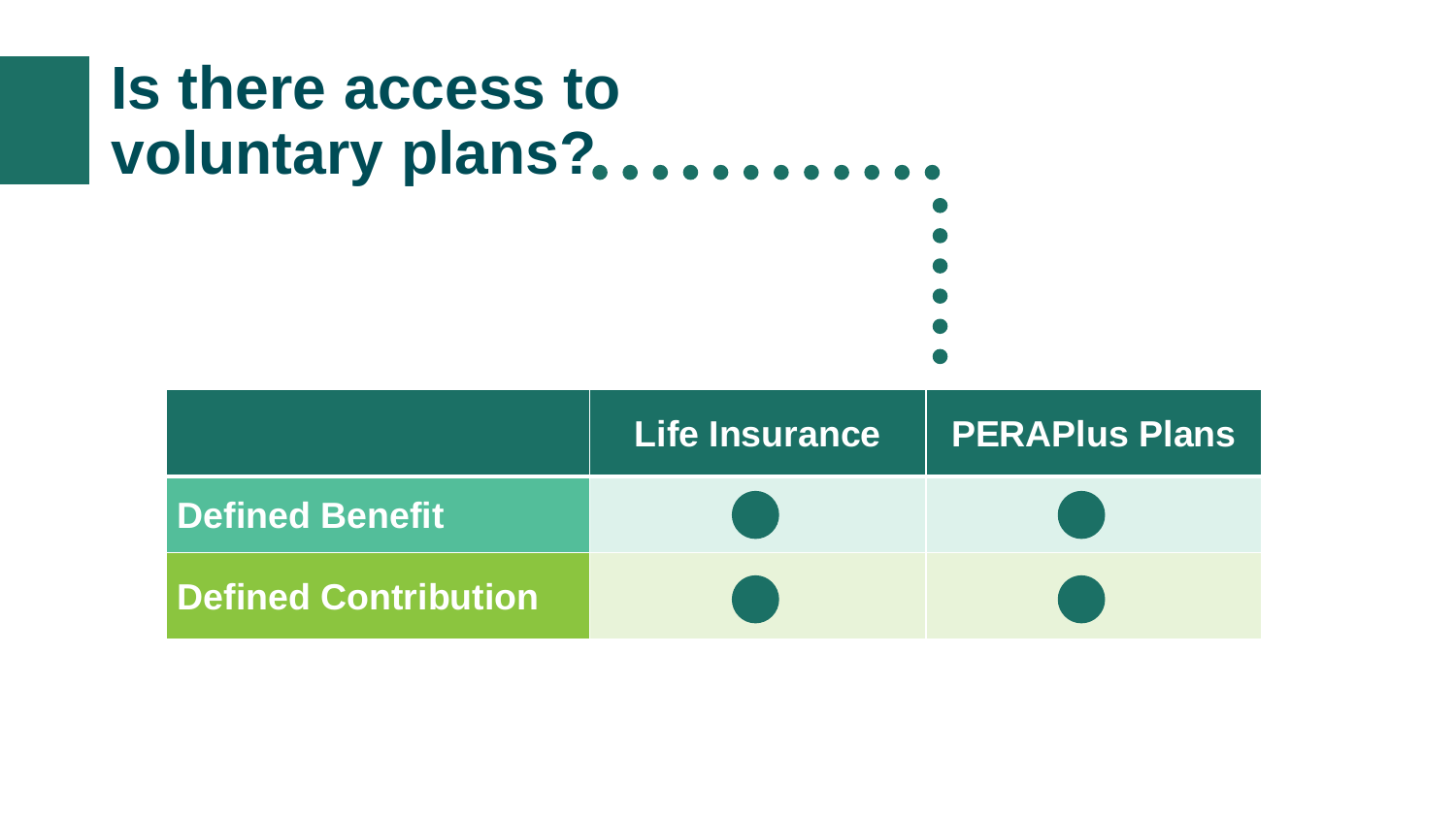### **Is there access to voluntary plans?**

|                             | Life Insurance | PERAPIus Plans |
|-----------------------------|----------------|----------------|
| Defined Benefit             |                |                |
| <b>Defined Contribution</b> |                |                |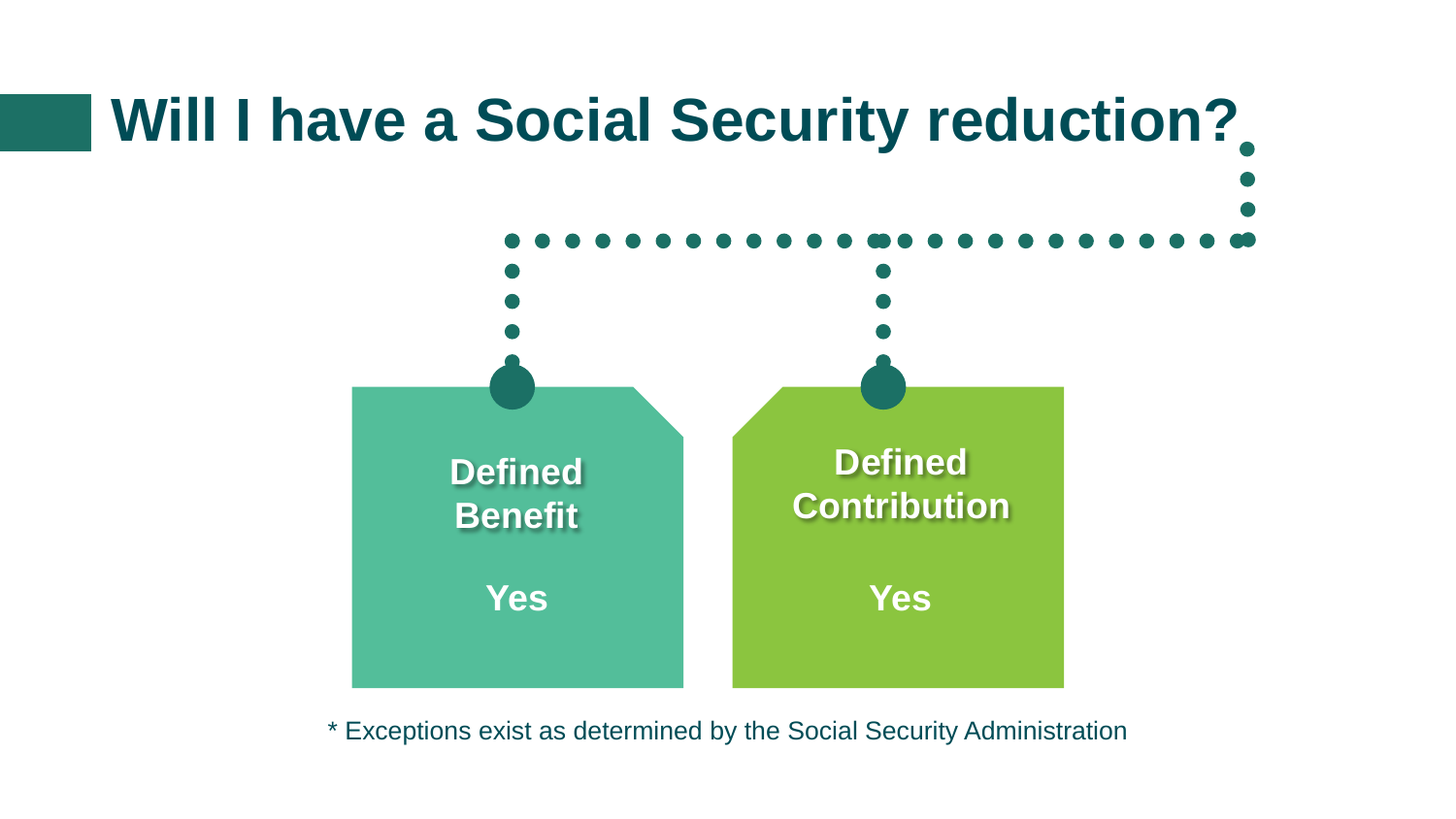# **Will I have a Social Security reduction? Defined Contribution Defined Benefit Yes Yes**

\* Exceptions exist as determined by the Social Security Administration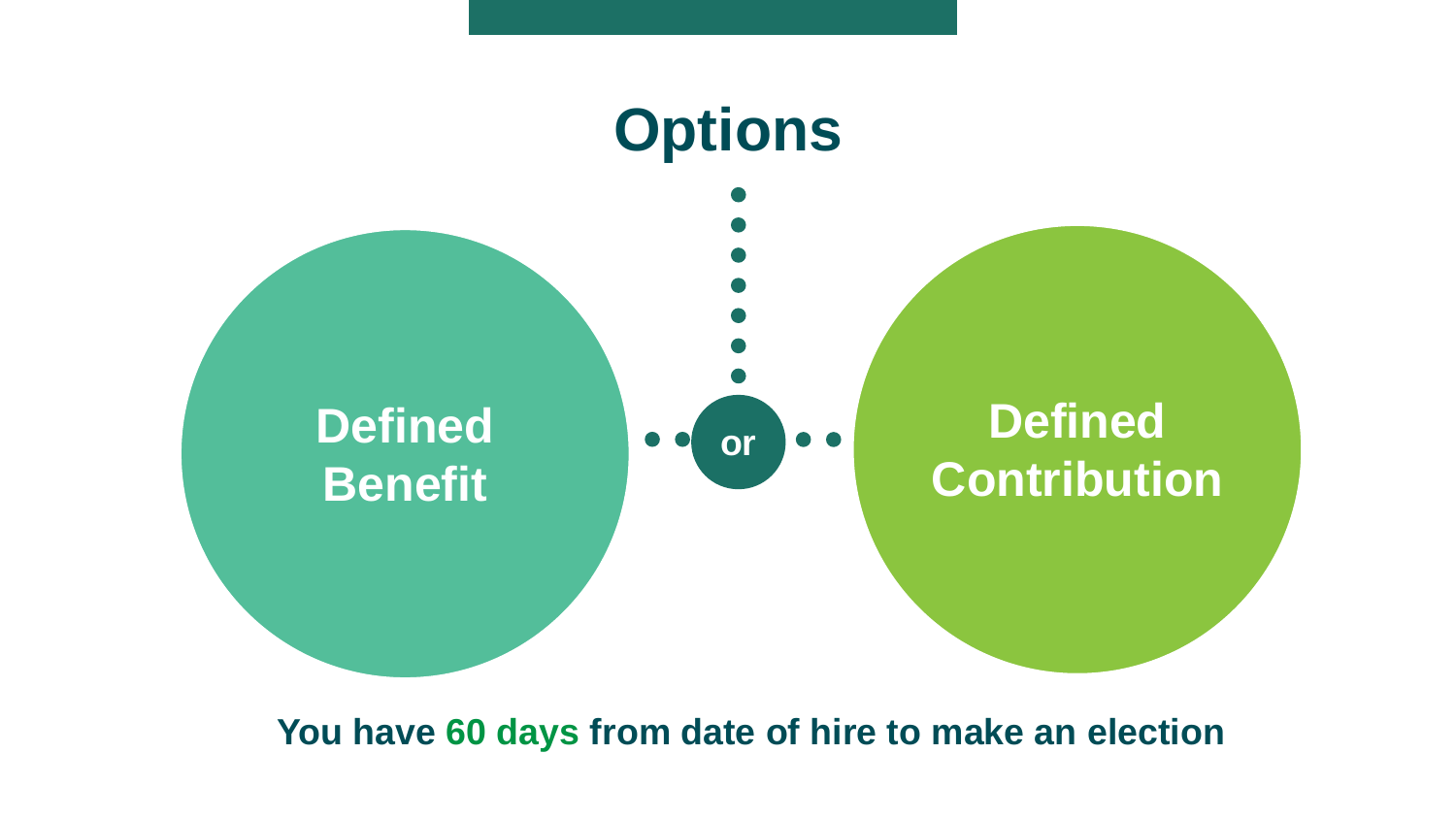

#### **You have 60 days from date of hire to make an election**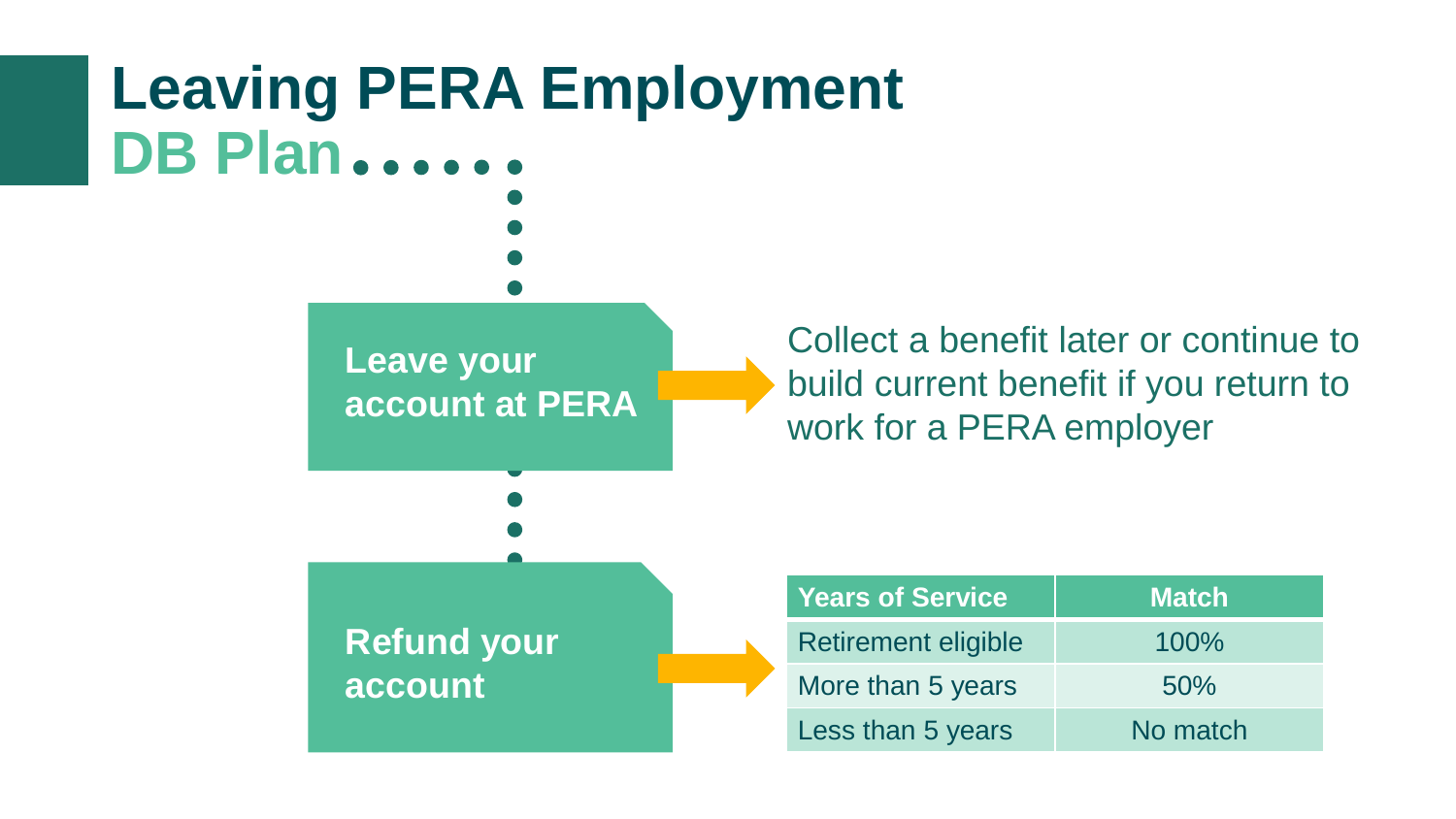### **Leaving PERA Employment DB Plan**

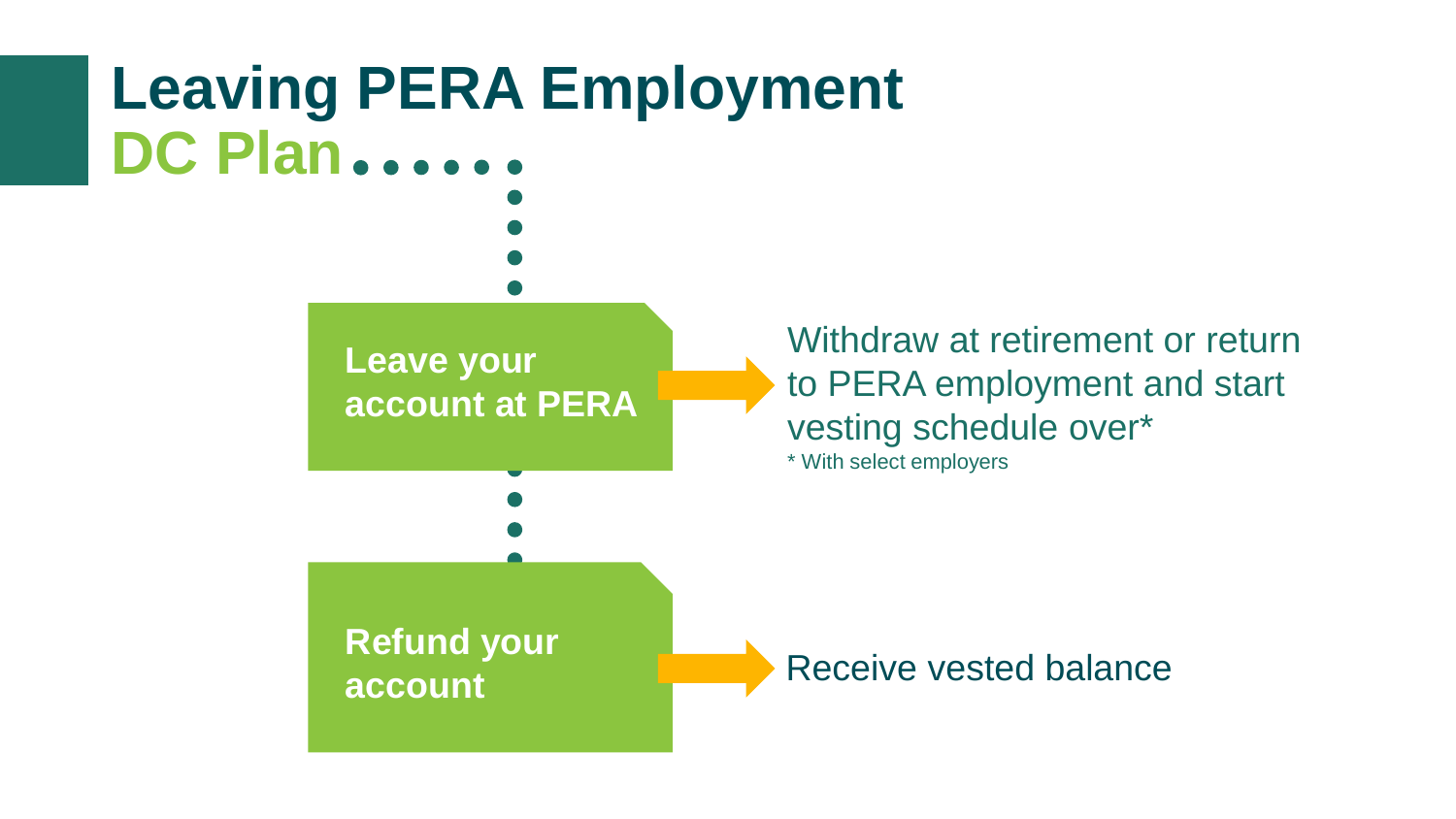### **Leaving PERA Employment DC Plan**

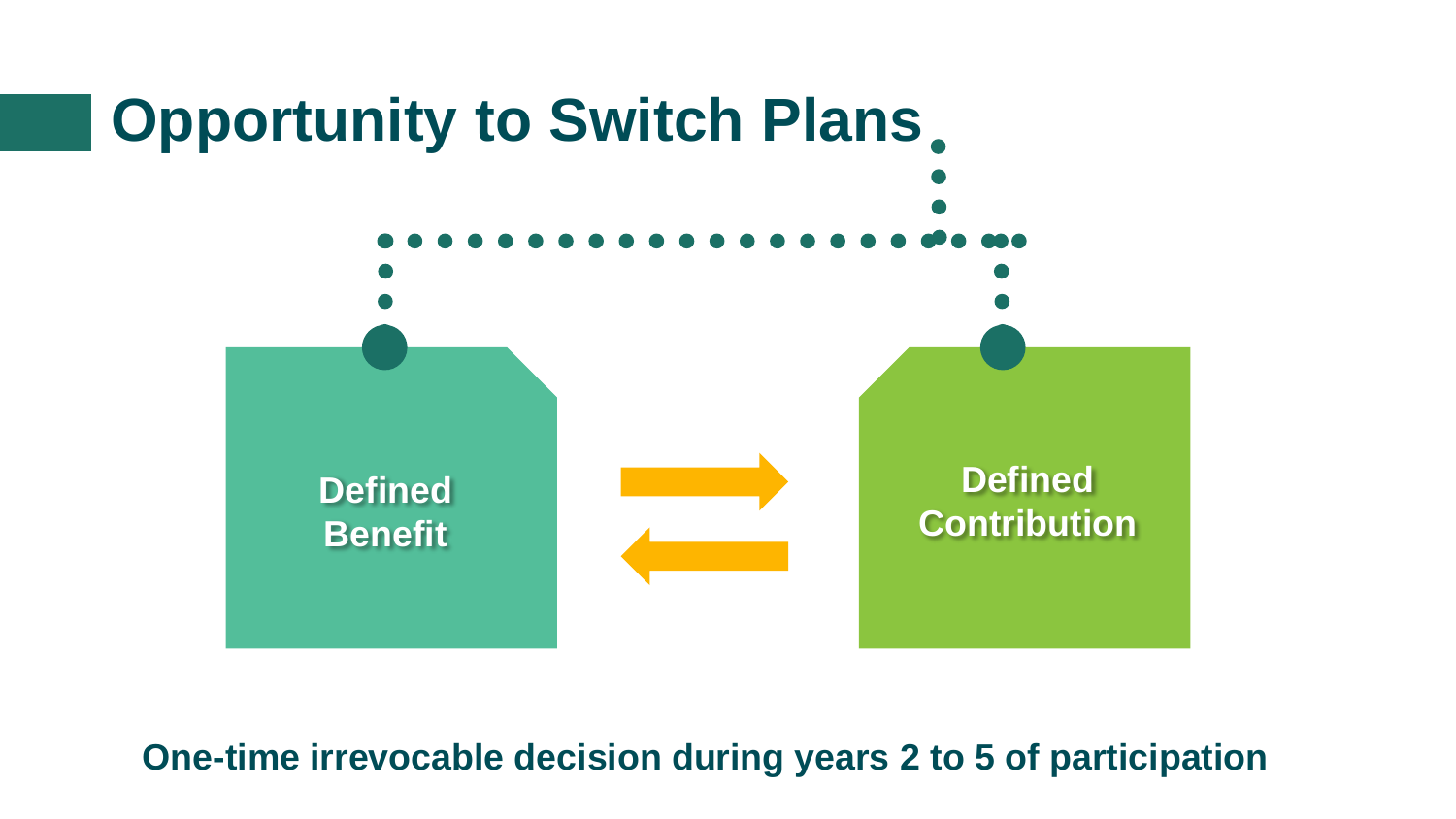

**One-time irrevocable decision during years 2 to 5 of participation**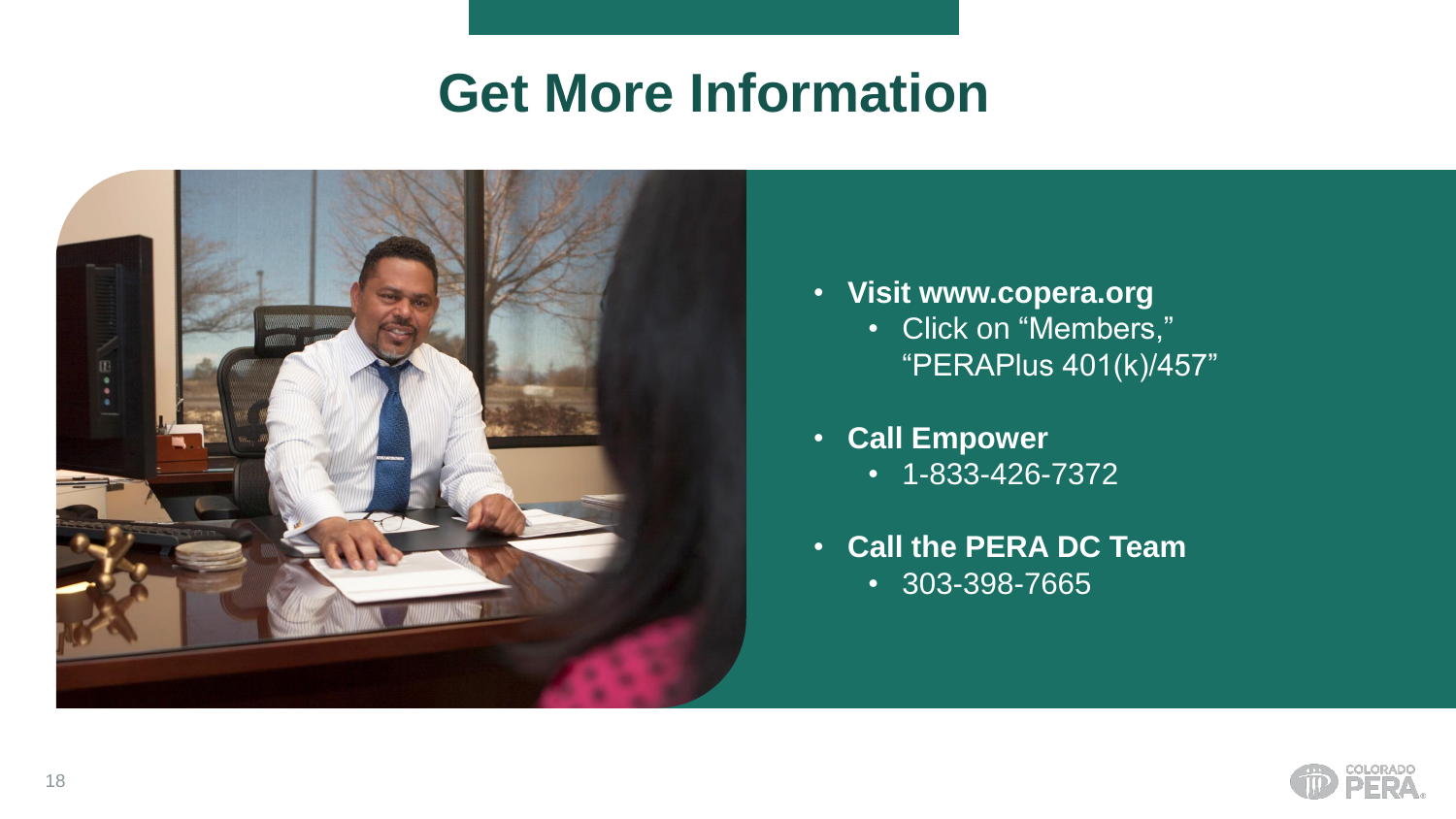#### **Get More Information**



- **Visit www.copera.org**
	- Click on "Members," "PERAPlus 401(k)/457"
- **Call Empower**
	- 1-833-426-7372
- **Call the PERA DC Team** • 303-398-7665